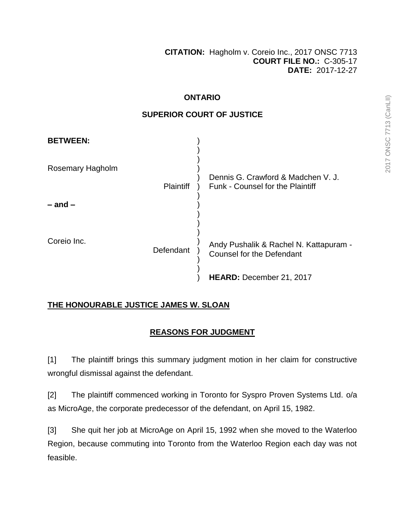### **ONTARIO**

## **SUPERIOR COURT OF JUSTICE**

| <b>BETWEEN:</b>  |                  |                                                                            |
|------------------|------------------|----------------------------------------------------------------------------|
| Rosemary Hagholm | <b>Plaintiff</b> | Dennis G. Crawford & Madchen V. J.<br>Funk - Counsel for the Plaintiff     |
| $-$ and $-$      |                  |                                                                            |
| Coreio Inc.      | Defendant        | Andy Pushalik & Rachel N. Kattapuram -<br><b>Counsel for the Defendant</b> |
|                  |                  | HEARD: December 21, 2017                                                   |

## **THE HONOURABLE JUSTICE JAMES W. SLOAN**

# **REASONS FOR JUDGMENT**

[1] The plaintiff brings this summary judgment motion in her claim for constructive wrongful dismissal against the defendant.

[2] The plaintiff commenced working in Toronto for Syspro Proven Systems Ltd. o/a as MicroAge, the corporate predecessor of the defendant, on April 15, 1982.

[3] She quit her job at MicroAge on April 15, 1992 when she moved to the Waterloo Region, because commuting into Toronto from the Waterloo Region each day was not feasible.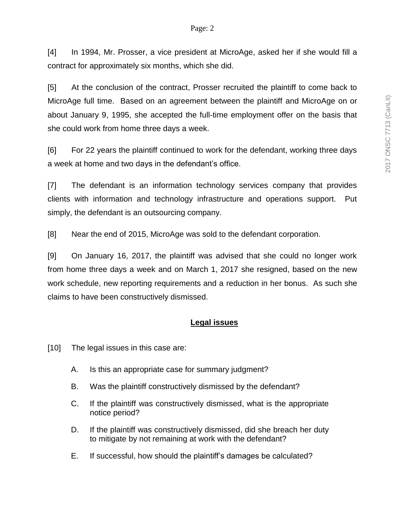[4] In 1994, Mr. Prosser, a vice president at MicroAge, asked her if she would fill a contract for approximately six months, which she did.

[5] At the conclusion of the contract, Prosser recruited the plaintiff to come back to MicroAge full time. Based on an agreement between the plaintiff and MicroAge on or about January 9, 1995, she accepted the full-time employment offer on the basis that she could work from home three days a week.

[6] For 22 years the plaintiff continued to work for the defendant, working three days a week at home and two days in the defendant's office.

[7] The defendant is an information technology services company that provides clients with information and technology infrastructure and operations support. Put simply, the defendant is an outsourcing company.

[8] Near the end of 2015, MicroAge was sold to the defendant corporation.

[9] On January 16, 2017, the plaintiff was advised that she could no longer work from home three days a week and on March 1, 2017 she resigned, based on the new work schedule, new reporting requirements and a reduction in her bonus. As such she claims to have been constructively dismissed.

### **Legal issues**

[10] The legal issues in this case are:

- A. Is this an appropriate case for summary judgment?
- B. Was the plaintiff constructively dismissed by the defendant?
- C. If the plaintiff was constructively dismissed, what is the appropriate notice period?
- D. If the plaintiff was constructively dismissed, did she breach her duty to mitigate by not remaining at work with the defendant?
- E. If successful, how should the plaintiff's damages be calculated?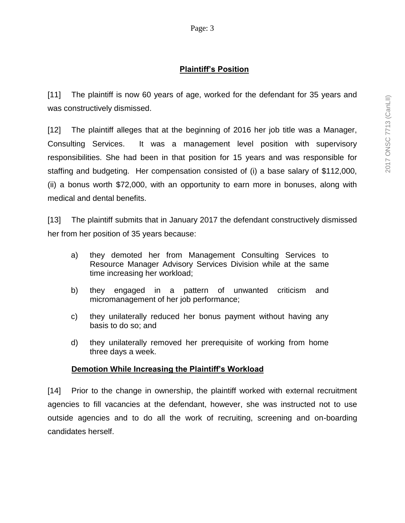## **Plaintiff's Position**

[11] The plaintiff is now 60 years of age, worked for the defendant for 35 years and was constructively dismissed.

[12] The plaintiff alleges that at the beginning of 2016 her job title was a Manager, Consulting Services. It was a management level position with supervisory responsibilities. She had been in that position for 15 years and was responsible for staffing and budgeting. Her compensation consisted of (i) a base salary of \$112,000, (ii) a bonus worth \$72,000, with an opportunity to earn more in bonuses, along with medical and dental benefits.

[13] The plaintiff submits that in January 2017 the defendant constructively dismissed her from her position of 35 years because:

- a) they demoted her from Management Consulting Services to Resource Manager Advisory Services Division while at the same time increasing her workload;
- b) they engaged in a pattern of unwanted criticism and micromanagement of her job performance;
- c) they unilaterally reduced her bonus payment without having any basis to do so; and
- d) they unilaterally removed her prerequisite of working from home three days a week.

### **Demotion While Increasing the Plaintiff's Workload**

[14] Prior to the change in ownership, the plaintiff worked with external recruitment agencies to fill vacancies at the defendant, however, she was instructed not to use outside agencies and to do all the work of recruiting, screening and on-boarding candidates herself.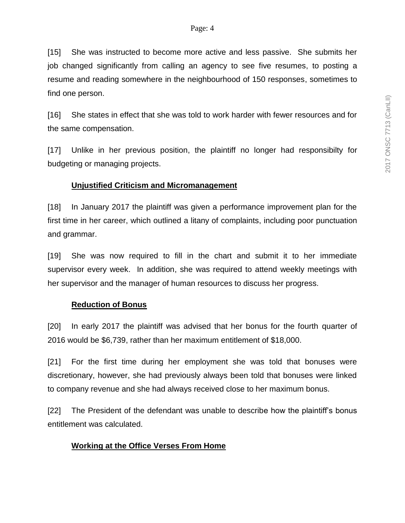[15] She was instructed to become more active and less passive. She submits her job changed significantly from calling an agency to see five resumes, to posting a resume and reading somewhere in the neighbourhood of 150 responses, sometimes to find one person.

[16] She states in effect that she was told to work harder with fewer resources and for the same compensation.

[17] Unlike in her previous position, the plaintiff no longer had responsibilty for budgeting or managing projects.

### **Unjustified Criticism and Micromanagement**

[18] In January 2017 the plaintiff was given a performance improvement plan for the first time in her career, which outlined a litany of complaints, including poor punctuation and grammar.

[19] She was now required to fill in the chart and submit it to her immediate supervisor every week. In addition, she was required to attend weekly meetings with her supervisor and the manager of human resources to discuss her progress.

### **Reduction of Bonus**

[20] In early 2017 the plaintiff was advised that her bonus for the fourth quarter of 2016 would be \$6,739, rather than her maximum entitlement of \$18,000.

[21] For the first time during her employment she was told that bonuses were discretionary, however, she had previously always been told that bonuses were linked to company revenue and she had always received close to her maximum bonus.

[22] The President of the defendant was unable to describe how the plaintiff's bonus entitlement was calculated.

### **Working at the Office Verses From Home**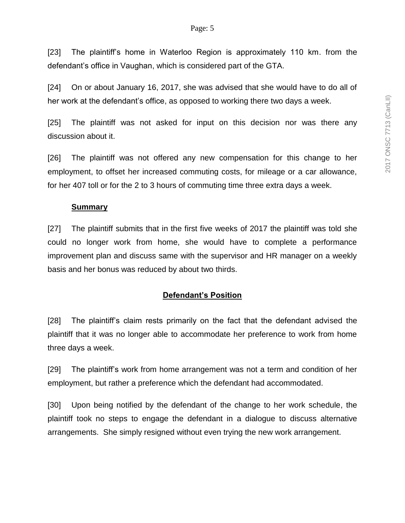[23] The plaintiff's home in Waterloo Region is approximately 110 km. from the defendant's office in Vaughan, which is considered part of the GTA.

[24] On or about January 16, 2017, she was advised that she would have to do all of her work at the defendant's office, as opposed to working there two days a week.

[25] The plaintiff was not asked for input on this decision nor was there any discussion about it.

[26] The plaintiff was not offered any new compensation for this change to her employment, to offset her increased commuting costs, for mileage or a car allowance, for her 407 toll or for the 2 to 3 hours of commuting time three extra days a week.

#### **Summary**

[27] The plaintiff submits that in the first five weeks of 2017 the plaintiff was told she could no longer work from home, she would have to complete a performance improvement plan and discuss same with the supervisor and HR manager on a weekly basis and her bonus was reduced by about two thirds.

### **Defendant's Position**

[28] The plaintiff's claim rests primarily on the fact that the defendant advised the plaintiff that it was no longer able to accommodate her preference to work from home three days a week.

[29] The plaintiff's work from home arrangement was not a term and condition of her employment, but rather a preference which the defendant had accommodated.

[30] Upon being notified by the defendant of the change to her work schedule, the plaintiff took no steps to engage the defendant in a dialogue to discuss alternative arrangements. She simply resigned without even trying the new work arrangement.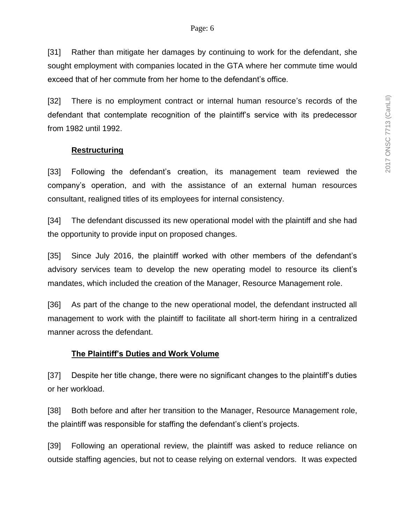[31] Rather than mitigate her damages by continuing to work for the defendant, she sought employment with companies located in the GTA where her commute time would exceed that of her commute from her home to the defendant's office.

[32] There is no employment contract or internal human resource's records of the defendant that contemplate recognition of the plaintiff's service with its predecessor from 1982 until 1992.

## **Restructuring**

[33] Following the defendant's creation, its management team reviewed the company's operation, and with the assistance of an external human resources consultant, realigned titles of its employees for internal consistency.

[34] The defendant discussed its new operational model with the plaintiff and she had the opportunity to provide input on proposed changes.

[35] Since July 2016, the plaintiff worked with other members of the defendant's advisory services team to develop the new operating model to resource its client's mandates, which included the creation of the Manager, Resource Management role.

[36] As part of the change to the new operational model, the defendant instructed all management to work with the plaintiff to facilitate all short-term hiring in a centralized manner across the defendant.

## **The Plaintiff's Duties and Work Volume**

[37] Despite her title change, there were no significant changes to the plaintiff's duties or her workload.

[38] Both before and after her transition to the Manager, Resource Management role, the plaintiff was responsible for staffing the defendant's client's projects.

[39] Following an operational review, the plaintiff was asked to reduce reliance on outside staffing agencies, but not to cease relying on external vendors. It was expected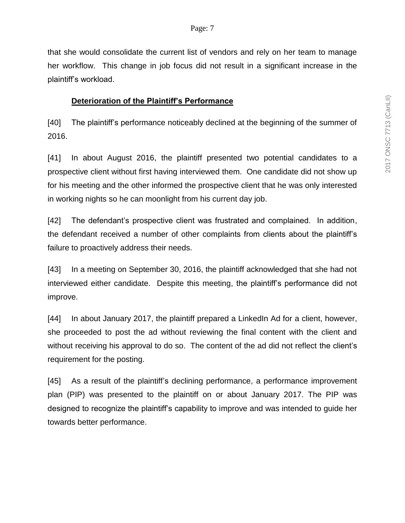that she would consolidate the current list of vendors and rely on her team to manage her workflow. This change in job focus did not result in a significant increase in the plaintiff's workload.

### **Deterioration of the Plaintiff's Performance**

[40] The plaintiff's performance noticeably declined at the beginning of the summer of 2016.

[41] In about August 2016, the plaintiff presented two potential candidates to a prospective client without first having interviewed them. One candidate did not show up for his meeting and the other informed the prospective client that he was only interested in working nights so he can moonlight from his current day job.

[42] The defendant's prospective client was frustrated and complained. In addition, the defendant received a number of other complaints from clients about the plaintiff's failure to proactively address their needs.

[43] In a meeting on September 30, 2016, the plaintiff acknowledged that she had not interviewed either candidate. Despite this meeting, the plaintiff's performance did not improve.

[44] In about January 2017, the plaintiff prepared a LinkedIn Ad for a client, however, she proceeded to post the ad without reviewing the final content with the client and without receiving his approval to do so. The content of the ad did not reflect the client's requirement for the posting.

[45] As a result of the plaintiff's declining performance, a performance improvement plan (PIP) was presented to the plaintiff on or about January 2017. The PIP was designed to recognize the plaintiff's capability to improve and was intended to guide her towards better performance.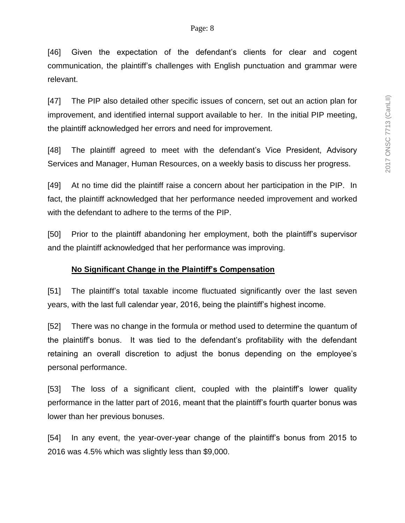[46] Given the expectation of the defendant's clients for clear and cogent communication, the plaintiff's challenges with English punctuation and grammar were relevant.

[47] The PIP also detailed other specific issues of concern, set out an action plan for improvement, and identified internal support available to her. In the initial PIP meeting, the plaintiff acknowledged her errors and need for improvement.

[48] The plaintiff agreed to meet with the defendant's Vice President, Advisory Services and Manager, Human Resources, on a weekly basis to discuss her progress.

[49] At no time did the plaintiff raise a concern about her participation in the PIP. In fact, the plaintiff acknowledged that her performance needed improvement and worked with the defendant to adhere to the terms of the PIP.

[50] Prior to the plaintiff abandoning her employment, both the plaintiff's supervisor and the plaintiff acknowledged that her performance was improving.

## **No Significant Change in the Plaintiff's Compensation**

[51] The plaintiff's total taxable income fluctuated significantly over the last seven years, with the last full calendar year, 2016, being the plaintiff's highest income.

[52] There was no change in the formula or method used to determine the quantum of the plaintiff's bonus. It was tied to the defendant's profitability with the defendant retaining an overall discretion to adjust the bonus depending on the employee's personal performance.

[53] The loss of a significant client, coupled with the plaintiff's lower quality performance in the latter part of 2016, meant that the plaintiff's fourth quarter bonus was lower than her previous bonuses.

[54] In any event, the year-over-year change of the plaintiff's bonus from 2015 to 2016 was 4.5% which was slightly less than \$9,000.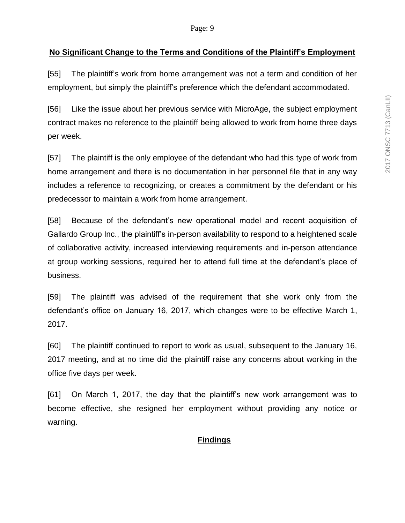#### **No Significant Change to the Terms and Conditions of the Plaintiff's Employment**

[55] The plaintiff's work from home arrangement was not a term and condition of her employment, but simply the plaintiff's preference which the defendant accommodated.

[56] Like the issue about her previous service with MicroAge, the subject employment contract makes no reference to the plaintiff being allowed to work from home three days per week.

[57] The plaintiff is the only employee of the defendant who had this type of work from home arrangement and there is no documentation in her personnel file that in any way includes a reference to recognizing, or creates a commitment by the defendant or his predecessor to maintain a work from home arrangement.

[58] Because of the defendant's new operational model and recent acquisition of Gallardo Group Inc., the plaintiff's in-person availability to respond to a heightened scale of collaborative activity, increased interviewing requirements and in-person attendance at group working sessions, required her to attend full time at the defendant's place of business.

[59] The plaintiff was advised of the requirement that she work only from the defendant's office on January 16, 2017, which changes were to be effective March 1, 2017.

[60] The plaintiff continued to report to work as usual, subsequent to the January 16, 2017 meeting, and at no time did the plaintiff raise any concerns about working in the office five days per week.

[61] On March 1, 2017, the day that the plaintiff's new work arrangement was to become effective, she resigned her employment without providing any notice or warning.

#### **Findings**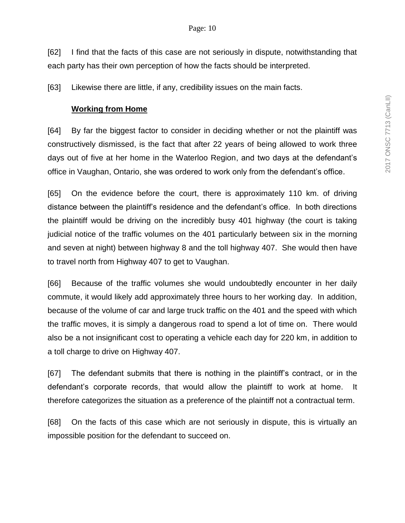[62] I find that the facts of this case are not seriously in dispute, notwithstanding that each party has their own perception of how the facts should be interpreted.

[63] Likewise there are little, if any, credibility issues on the main facts.

#### **Working from Home**

[64] By far the biggest factor to consider in deciding whether or not the plaintiff was constructively dismissed, is the fact that after 22 years of being allowed to work three days out of five at her home in the Waterloo Region, and two days at the defendant's office in Vaughan, Ontario, she was ordered to work only from the defendant's office.

[65] On the evidence before the court, there is approximately 110 km. of driving distance between the plaintiff's residence and the defendant's office. In both directions the plaintiff would be driving on the incredibly busy 401 highway (the court is taking judicial notice of the traffic volumes on the 401 particularly between six in the morning and seven at night) between highway 8 and the toll highway 407. She would then have to travel north from Highway 407 to get to Vaughan.

[66] Because of the traffic volumes she would undoubtedly encounter in her daily commute, it would likely add approximately three hours to her working day. In addition, because of the volume of car and large truck traffic on the 401 and the speed with which the traffic moves, it is simply a dangerous road to spend a lot of time on. There would also be a not insignificant cost to operating a vehicle each day for 220 km, in addition to a toll charge to drive on Highway 407.

[67] The defendant submits that there is nothing in the plaintiff's contract, or in the defendant's corporate records, that would allow the plaintiff to work at home. It therefore categorizes the situation as a preference of the plaintiff not a contractual term.

[68] On the facts of this case which are not seriously in dispute, this is virtually an impossible position for the defendant to succeed on.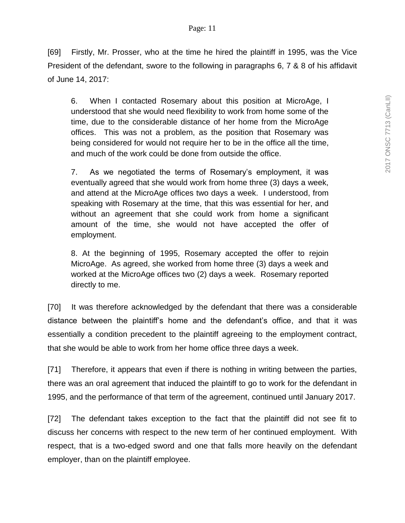[69] Firstly, Mr. Prosser, who at the time he hired the plaintiff in 1995, was the Vice President of the defendant, swore to the following in paragraphs 6, 7 & 8 of his affidavit of June 14, 2017:

6. When I contacted Rosemary about this position at MicroAge, I understood that she would need flexibility to work from home some of the time, due to the considerable distance of her home from the MicroAge offices. This was not a problem, as the position that Rosemary was being considered for would not require her to be in the office all the time, and much of the work could be done from outside the office.

7. As we negotiated the terms of Rosemary's employment, it was eventually agreed that she would work from home three (3) days a week, and attend at the MicroAge offices two days a week. I understood, from speaking with Rosemary at the time, that this was essential for her, and without an agreement that she could work from home a significant amount of the time, she would not have accepted the offer of employment.

8. At the beginning of 1995, Rosemary accepted the offer to rejoin MicroAge. As agreed, she worked from home three (3) days a week and worked at the MicroAge offices two (2) days a week. Rosemary reported directly to me.

[70] It was therefore acknowledged by the defendant that there was a considerable distance between the plaintiff's home and the defendant's office, and that it was essentially a condition precedent to the plaintiff agreeing to the employment contract, that she would be able to work from her home office three days a week.

[71] Therefore, it appears that even if there is nothing in writing between the parties, there was an oral agreement that induced the plaintiff to go to work for the defendant in 1995, and the performance of that term of the agreement, continued until January 2017.

[72] The defendant takes exception to the fact that the plaintiff did not see fit to discuss her concerns with respect to the new term of her continued employment. With respect, that is a two-edged sword and one that falls more heavily on the defendant employer, than on the plaintiff employee.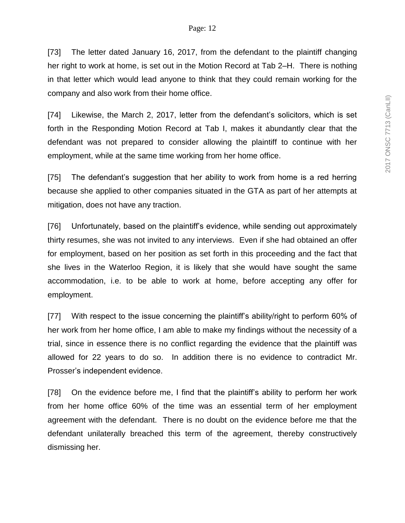[73] The letter dated January 16, 2017, from the defendant to the plaintiff changing her right to work at home, is set out in the Motion Record at Tab 2–H. There is nothing in that letter which would lead anyone to think that they could remain working for the company and also work from their home office.

[74] Likewise, the March 2, 2017, letter from the defendant's solicitors, which is set forth in the Responding Motion Record at Tab I, makes it abundantly clear that the defendant was not prepared to consider allowing the plaintiff to continue with her employment, while at the same time working from her home office.

[75] The defendant's suggestion that her ability to work from home is a red herring because she applied to other companies situated in the GTA as part of her attempts at mitigation, does not have any traction.

[76] Unfortunately, based on the plaintiff's evidence, while sending out approximately thirty resumes, she was not invited to any interviews. Even if she had obtained an offer for employment, based on her position as set forth in this proceeding and the fact that she lives in the Waterloo Region, it is likely that she would have sought the same accommodation, i.e. to be able to work at home, before accepting any offer for employment.

[77] With respect to the issue concerning the plaintiff's ability/right to perform 60% of her work from her home office, I am able to make my findings without the necessity of a trial, since in essence there is no conflict regarding the evidence that the plaintiff was allowed for 22 years to do so. In addition there is no evidence to contradict Mr. Prosser's independent evidence.

[78] On the evidence before me, I find that the plaintiff's ability to perform her work from her home office 60% of the time was an essential term of her employment agreement with the defendant. There is no doubt on the evidence before me that the defendant unilaterally breached this term of the agreement, thereby constructively dismissing her.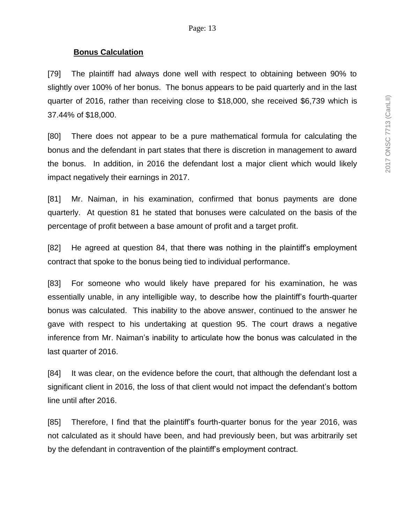#### **Bonus Calculation**

[79] The plaintiff had always done well with respect to obtaining between 90% to slightly over 100% of her bonus. The bonus appears to be paid quarterly and in the last quarter of 2016, rather than receiving close to \$18,000, she received \$6,739 which is 37.44% of \$18,000.

[80] There does not appear to be a pure mathematical formula for calculating the bonus and the defendant in part states that there is discretion in management to award the bonus. In addition, in 2016 the defendant lost a major client which would likely impact negatively their earnings in 2017.

[81] Mr. Naiman, in his examination, confirmed that bonus payments are done quarterly. At question 81 he stated that bonuses were calculated on the basis of the percentage of profit between a base amount of profit and a target profit.

[82] He agreed at question 84, that there was nothing in the plaintiff's employment contract that spoke to the bonus being tied to individual performance.

[83] For someone who would likely have prepared for his examination, he was essentially unable, in any intelligible way, to describe how the plaintiff's fourth-quarter bonus was calculated. This inability to the above answer, continued to the answer he gave with respect to his undertaking at question 95. The court draws a negative inference from Mr. Naiman's inability to articulate how the bonus was calculated in the last quarter of 2016.

[84] It was clear, on the evidence before the court, that although the defendant lost a significant client in 2016, the loss of that client would not impact the defendant's bottom line until after 2016.

[85] Therefore, I find that the plaintiff's fourth-quarter bonus for the year 2016, was not calculated as it should have been, and had previously been, but was arbitrarily set by the defendant in contravention of the plaintiff's employment contract.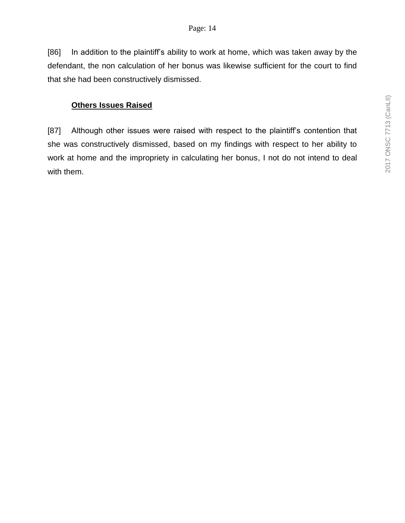[86] In addition to the plaintiff's ability to work at home, which was taken away by the defendant, the non calculation of her bonus was likewise sufficient for the court to find that she had been constructively dismissed.

## **Others Issues Raised**

[87] Although other issues were raised with respect to the plaintiff's contention that she was constructively dismissed, based on my findings with respect to her ability to work at home and the impropriety in calculating her bonus, I not do not intend to deal with them.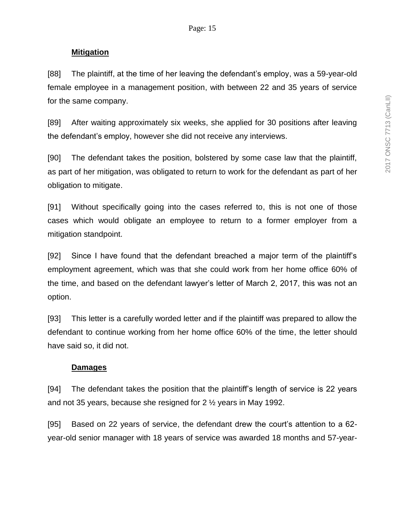#### **Mitigation**

[88] The plaintiff, at the time of her leaving the defendant's employ, was a 59-year-old female employee in a management position, with between 22 and 35 years of service for the same company.

[89] After waiting approximately six weeks, she applied for 30 positions after leaving the defendant's employ, however she did not receive any interviews.

[90] The defendant takes the position, bolstered by some case law that the plaintiff, as part of her mitigation, was obligated to return to work for the defendant as part of her obligation to mitigate.

[91] Without specifically going into the cases referred to, this is not one of those cases which would obligate an employee to return to a former employer from a mitigation standpoint.

[92] Since I have found that the defendant breached a major term of the plaintiff's employment agreement, which was that she could work from her home office 60% of the time, and based on the defendant lawyer's letter of March 2, 2017, this was not an option.

[93] This letter is a carefully worded letter and if the plaintiff was prepared to allow the defendant to continue working from her home office 60% of the time, the letter should have said so, it did not.

#### **Damages**

[94] The defendant takes the position that the plaintiff's length of service is 22 years and not 35 years, because she resigned for 2 ½ years in May 1992.

[95] Based on 22 years of service, the defendant drew the court's attention to a 62 year-old senior manager with 18 years of service was awarded 18 months and 57-year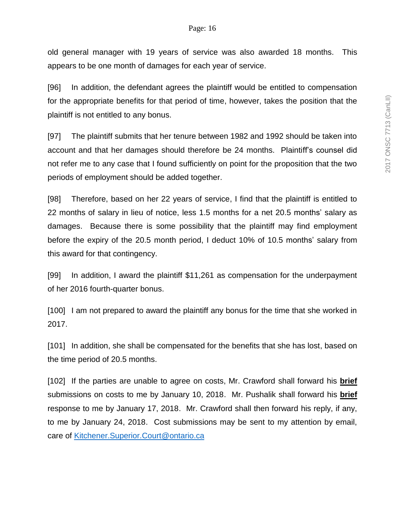old general manager with 19 years of service was also awarded 18 months. This appears to be one month of damages for each year of service.

[96] In addition, the defendant agrees the plaintiff would be entitled to compensation for the appropriate benefits for that period of time, however, takes the position that the plaintiff is not entitled to any bonus.

[97] The plaintiff submits that her tenure between 1982 and 1992 should be taken into account and that her damages should therefore be 24 months. Plaintiff's counsel did not refer me to any case that I found sufficiently on point for the proposition that the two periods of employment should be added together.

[98] Therefore, based on her 22 years of service, I find that the plaintiff is entitled to 22 months of salary in lieu of notice, less 1.5 months for a net 20.5 months' salary as damages. Because there is some possibility that the plaintiff may find employment before the expiry of the 20.5 month period, I deduct 10% of 10.5 months' salary from this award for that contingency.

[99] In addition, I award the plaintiff \$11,261 as compensation for the underpayment of her 2016 fourth-quarter bonus.

[100] I am not prepared to award the plaintiff any bonus for the time that she worked in 2017.

[101] In addition, she shall be compensated for the benefits that she has lost, based on the time period of 20.5 months.

[102] If the parties are unable to agree on costs, Mr. Crawford shall forward his **brief** submissions on costs to me by January 10, 2018. Mr. Pushalik shall forward his **brief** response to me by January 17, 2018. Mr. Crawford shall then forward his reply, if any, to me by January 24, 2018. Cost submissions may be sent to my attention by email, care of [Kitchener.Superior.Court@ontario.ca](mailto:Kitchener.Superior.Court@ontario.ca)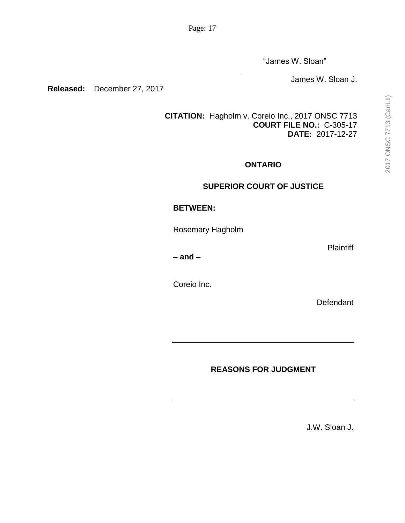"James W. Sloan"

James W. Sloan J.

**Released:** December 27, 2017

**[CITATION:](http://intra.judicialsecurity.jus.gov.on.ca/NeutralCitation/)** Hagholm v. Coreio Inc., 2017 ONSC 7713 **COURT FILE NO.:** C-305-17 **DATE:** 2017-12-27

### **ONTARIO**

## **SUPERIOR COURT OF JUSTICE**

## **BETWEEN:**

Rosemary Hagholm

**– and –**

Coreio Inc.

**Defendant** 

**Plaintiff** 

# **REASONS FOR JUDGMENT**

J.W. Sloan J.